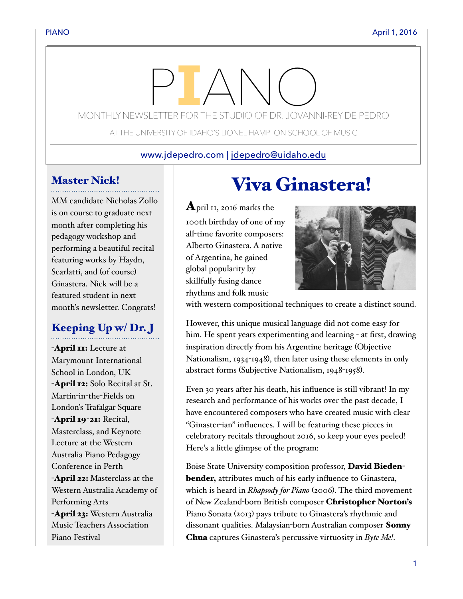# MONTHLY NEWSLETTER FOR THE STUDIO OF DR. JOVANNI-REY DE PEDRO

AT THE UNIVERSITY OF IDAHO'S LIONEL HAMPTON SCHOOL OF MUSIC

#### www.jdepedro.com | [jdepedro@uidaho.edu](mailto:jdepedro@uidaho.edu)

# Master Nick!

MM candidate Nicholas Zollo is on course to graduate next month after completing his pedagogy workshop and performing a beautiful recital featuring works by Haydn, Scarlatti, and (of course) Ginastera. Nick will be a featured student in next month's newsletter. Congrats!

# Keeping Up w/ Dr. J

-April II: Lecture at Marymount International School in London, UK -**April 12:** Solo Recital at St. Martin-in-the-Fields on London's Trafalgar Square -April 19-21: Recital, Masterclass, and Keynote Lecture at the Western Australia Piano Pedagogy Conference in Perth -April 22: Masterclass at the Western Australia Academy of Performing Arts -April 23: Western Australia Music Teachers Association Piano Festival

# Viva Ginastera!

**April 11, 2016 marks the** 100th birthday of one of my all-time favorite composers: Alberto Ginastera. A native of Argentina, he gained global popularity by skillfully fusing dance rhythms and folk music



with western compositional techniques to create a distinct sound.

However, this unique musical language did not come easy for him. He spent years experimenting and learning - at first, drawing inspiration directly from his Argentine heritage (Objective Nationalism, 1934-1948), then later using these elements in only abstract forms (Subjective Nationalism, 1948-1958).

Even 30 years after his death, his influence is still vibrant! In my research and performance of his works over the past decade, I have encountered composers who have created music with clear "Ginaster-ian" influences. I will be featuring these pieces in celebratory recitals throughout 2016, so keep your eyes peeled! Here's a little glimpse of the program:

Boise State University composition professor, David Biedenbender, attributes much of his early influence to Ginastera, which is heard in *Rhapsody for Piano* (2006). The third movement of New Zealand-born British composer Christopher Norton's Piano Sonata (2013) pays tribute to Ginastera's rhythmic and dissonant qualities. Malaysian-born Australian composer Sonny Chua captures Ginastera's percussive virtuosity in *Byte Me!*.